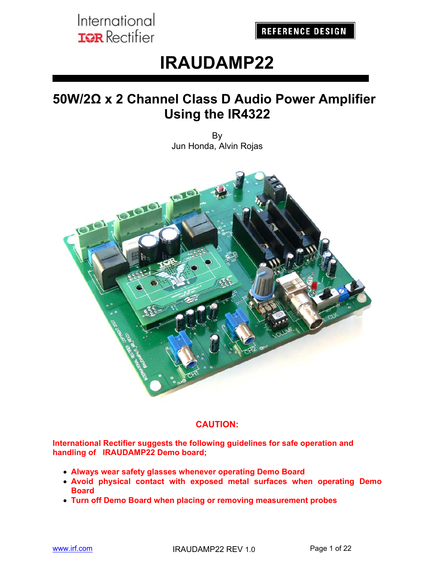**REFERENCE DESIGN** 

# **IRAUDAMP22**

## **50W/2Ω x 2 Channel Class D Audio Power Amplifier Using the IR4322**

By Jun Honda, Alvin Rojas



#### **CAUTION:**

**International Rectifier suggests the following guidelines for safe operation and handling of IRAUDAMP22 Demo board;** 

- **Always wear safety glasses whenever operating Demo Board**
- **Avoid physical contact with exposed metal surfaces when operating Demo Board**
- **Turn off Demo Board when placing or removing measurement probes**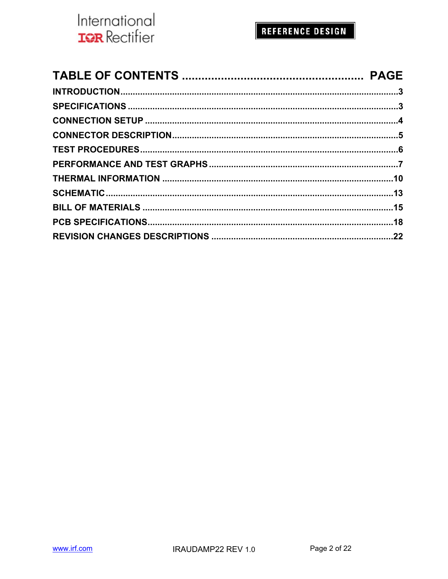

### **REFERENCE DESIGN**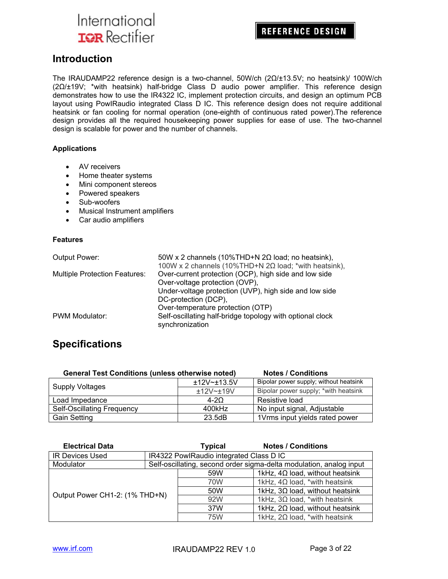**REFERENCE DESIGN** 

#### **Introduction**

The IRAUDAMP22 reference design is a two-channel, 50W/ch (2Ω/±13.5V; no heatsink)/ 100W/ch (2Ω/±19V; \*with heatsink) half-bridge Class D audio power amplifier. This reference design demonstrates how to use the IR4322 IC, implement protection circuits, and design an optimum PCB layout using PowIRaudio integrated Class D IC. This reference design does not require additional heatsink or fan cooling for normal operation (one-eighth of continuous rated power).The reference design provides all the required housekeeping power supplies for ease of use. The two-channel design is scalable for power and the number of channels.

#### **Applications**

- AV receivers
- Home theater systems
- Mini component stereos
- Powered speakers
- Sub-woofers
- Musical Instrument amplifiers
- Car audio amplifiers

#### **Features**

| <b>Output Power:</b>                 | 50W x 2 channels (10%THD+N $2\Omega$ load; no heatsink),     |
|--------------------------------------|--------------------------------------------------------------|
|                                      | 100W x 2 channels (10%THD+N $2\Omega$ load; *with heatsink), |
| <b>Multiple Protection Features:</b> | Over-current protection (OCP), high side and low side        |
|                                      | Over-voltage protection (OVP),                               |
|                                      | Under-voltage protection (UVP), high side and low side       |
|                                      | DC-protection (DCP),                                         |
|                                      | Over-temperature protection (OTP)                            |
| PWM Modulator:                       | Self-oscillating half-bridge topology with optional clock    |
|                                      | synchronization                                              |

### **Specifications**

| <b>General Test Conditions (unless otherwise noted)</b> | <b>Notes / Conditions</b> |                                        |
|---------------------------------------------------------|---------------------------|----------------------------------------|
| <b>Supply Voltages</b>                                  | ±12V~±13.5V               | Bipolar power supply; without heatsink |
|                                                         | ±12V~±19V                 | Bipolar power supply; *with heatsink   |
| Load Impedance                                          | $4 - 20$                  | Resistive load                         |
| Self-Oscillating Frequency                              | 400kHz                    | No input signal, Adjustable            |
| <b>Gain Setting</b>                                     | 23.5dB                    | 1Vrms input yields rated power         |

| <b>Electrical Data</b>                                            |  | <b>Typical</b> | <b>Notes / Conditions</b>                                           |
|-------------------------------------------------------------------|--|----------------|---------------------------------------------------------------------|
| IR4322 PowlRaudio integrated Class D IC<br><b>IR Devices Used</b> |  |                |                                                                     |
| Modulator                                                         |  |                | Self-oscillating, second order sigma-delta modulation, analog input |
|                                                                   |  | 59W            | 1kHz, $4\Omega$ load, without heatsink                              |
| Output Power CH1-2: (1% THD+N)                                    |  | 70W            | 1kHz, $4\Omega$ load, *with heatsink                                |
|                                                                   |  | 50W            | 1kHz, $3\Omega$ load, without heatsink                              |
|                                                                   |  | 92W            | 1kHz, $3\Omega$ load, *with heatsink                                |
|                                                                   |  | 37W            | 1kHz, $2\Omega$ load, without heatsink                              |
|                                                                   |  | 75W            | 1kHz, $2\Omega$ load, *with heatsink                                |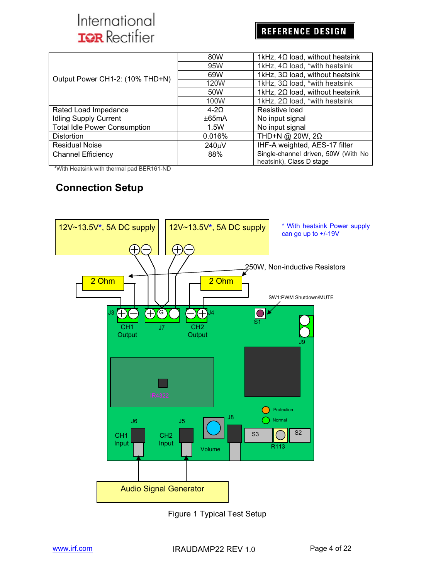### **REFERENCE DESIGN**

|                                     | 80W         | 1kHz, $4\Omega$ load, without heatsink |
|-------------------------------------|-------------|----------------------------------------|
| Output Power CH1-2: (10% THD+N)     | 95W         | 1kHz, $4\Omega$ load, *with heatsink   |
|                                     | 69W         | 1kHz, $3\Omega$ load, without heatsink |
|                                     | 120W        | 1kHz, $3\Omega$ load, *with heatsink   |
|                                     | 50W         | 1kHz, $2\Omega$ load, without heatsink |
|                                     | 100W        | 1kHz, $2\Omega$ load, *with heatsink   |
| Rated Load Impedance                | $4 - 20$    | Resistive load                         |
| <b>Idling Supply Current</b>        | ±65mA       | No input signal                        |
| <b>Total Idle Power Consumption</b> | 1.5W        | No input signal                        |
| <b>Distortion</b>                   | 0.016%      | THD+N @ 20W, $2\Omega$                 |
| <b>Residual Noise</b>               | $240 \mu V$ | IHF-A weighted, AES-17 filter          |
| <b>Channel Efficiency</b>           | 88%         | Single-channel driven, 50W (With No    |
|                                     |             | heatsink), Class D stage               |

\*With Heatsink with thermal pad BER161-ND

### **Connection Setup**



Figure 1 Typical Test Setup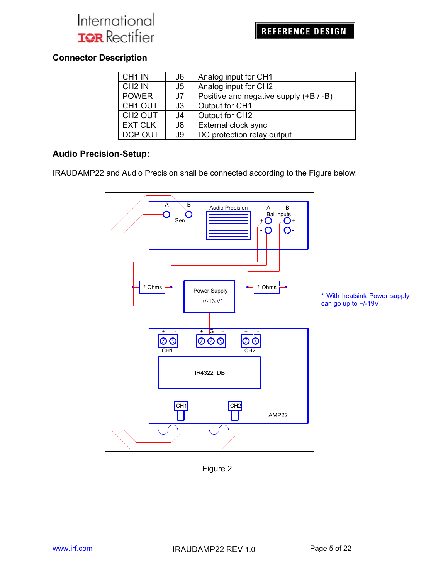### **Connector Description**

| CH <sub>1</sub> IN  | J6  | Analog input for CH1                   |
|---------------------|-----|----------------------------------------|
| CH <sub>2</sub> IN  | J5  | Analog input for CH2                   |
| <b>POWER</b>        | J7  | Positive and negative supply (+B / -B) |
| CH <sub>1</sub> OUT | J3  | Output for CH1                         |
| CH <sub>2</sub> OUT | J4  | Output for CH2                         |
| <b>EXT CLK</b>      | J8  | External clock sync                    |
| DCP OUT             | J9. | DC protection relay output             |

#### **Audio Precision-Setup:**

IRAUDAMP22 and Audio Precision shall be connected according to the Figure below:



Figure 2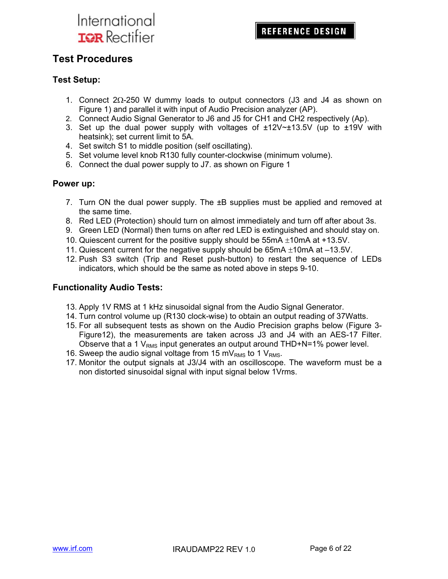### **Test Procedures**

#### **Test Setup:**

- 1. Connect  $2\Omega$ -250 W dummy loads to output connectors (J3 and J4 as shown on Figure 1) and parallel it with input of Audio Precision analyzer (AP).
- 2. Connect Audio Signal Generator to J6 and J5 for CH1 and CH2 respectively (Ap).
- 3. Set up the dual power supply with voltages of  $\pm 12V \sim \pm 13.5V$  (up to  $\pm 19V$  with heatsink); set current limit to 5A.
- 4. Set switch S1 to middle position (self oscillating).
- 5. Set volume level knob R130 fully counter-clockwise (minimum volume).
- 6. Connect the dual power supply to J7. as shown on Figure 1

#### **Power up:**

- 7. Turn ON the dual power supply. The ±B supplies must be applied and removed at the same time.
- 8. Red LED (Protection) should turn on almost immediately and turn off after about 3s.
- 9. Green LED (Normal) then turns on after red LED is extinguished and should stay on.
- 10. Quiescent current for the positive supply should be  $55mA \pm 10mA$  at +13.5V.
- 11. Quiescent current for the negative supply should be  $65mA \pm 10mA$  at  $-13.5V$ .
- 12. Push S3 switch (Trip and Reset push-button) to restart the sequence of LEDs indicators, which should be the same as noted above in steps 9-10.

#### **Functionality Audio Tests:**

- 13. Apply 1V RMS at 1 kHz sinusoidal signal from the Audio Signal Generator.
- 14. Turn control volume up (R130 clock-wise) to obtain an output reading of 37Watts.
- 15. For all subsequent tests as shown on the Audio Precision graphs below (Figure 3- Figure12), the measurements are taken across J3 and J4 with an AES-17 Filter. Observe that a 1  $V_{RMS}$  input generates an output around THD+N=1% power level.
- 16. Sweep the audio signal voltage from 15 mV $_{RMS}$  to 1 V $_{RMS}$ .
- 17. Monitor the output signals at J3/J4 with an oscilloscope. The waveform must be a non distorted sinusoidal signal with input signal below 1Vrms.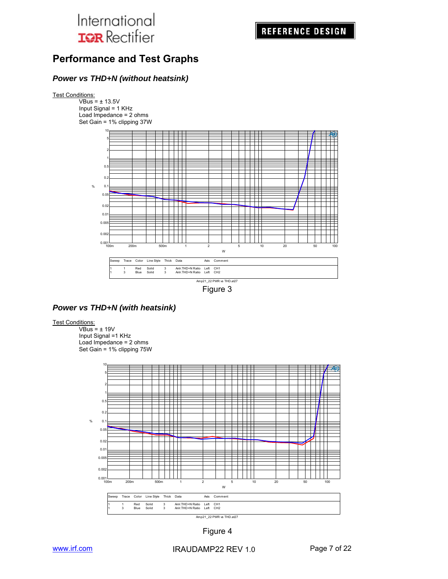### **Performance and Test Graphs**

#### *Power vs THD+N (without heatsink)*

**Test Conditions:** 

 $VBus = \pm 13.5V$ Input Signal = 1 KHz Load Impedance = 2 ohms Set Gain = 1% clipping 37W



*Power vs THD+N (with heatsink)*

Test Conditions:

 $VBus = ± 19V$ Input Signal =1 KHz Load Impedance = 2 ohms Set Gain = 1% clipping 75W



Figure 4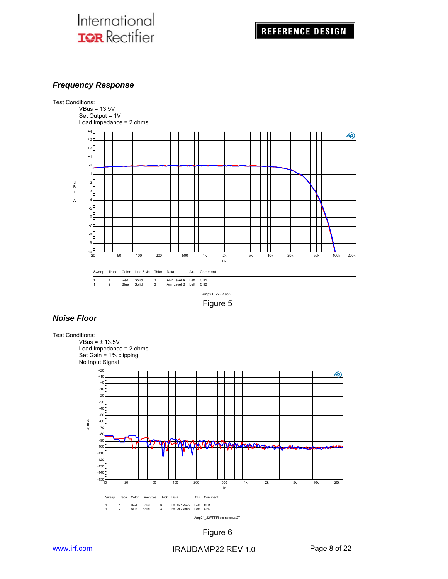#### *Frequency Response*



Figure 5

#### *Noise Floor*

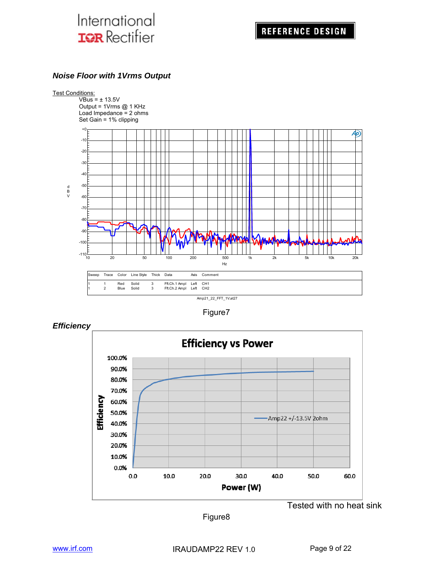#### *Noise Floor with 1Vrms Output*



Figure7



Figure8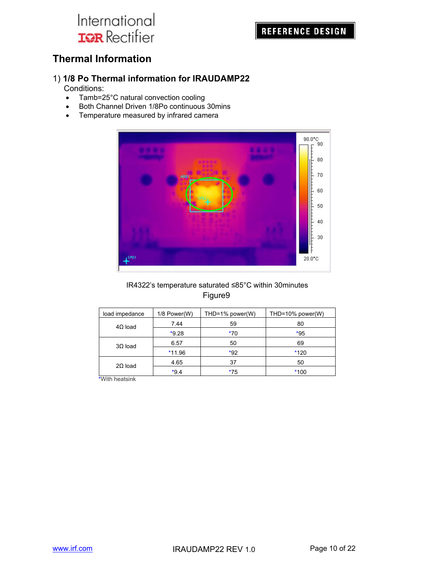### **Thermal Information**

#### 1) **1/8 Po Thermal information for IRAUDAMP22**

Conditions:

- Tamb=25°C natural convection cooling
- Both Channel Driven 1/8Po continuous 30mins
- Temperature measured by infrared camera



#### IR4322's temperature saturated ≤85°C within 30minutes Figure9

| load impedance | 1/8 Power(W) | THD=1% power(W) | THD=10% power(W) |
|----------------|--------------|-----------------|------------------|
| $4\Omega$ load | 7.44         | 59              | 80               |
|                | $*9.28$      | $*70$           | $*95$            |
| $3\Omega$ load | 6.57         | 50              | 69               |
|                | $*11.96$     | $*92$           | $*120$           |
| $2\Omega$ load | 4.65         | 37              | 50               |
|                | $*9.4$       | $*75$           | $*100$           |

\*With heatsink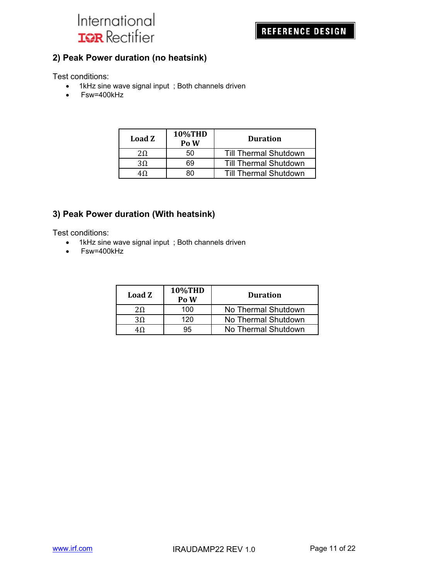

#### **2) Peak Power duration (no heatsink)**

Test conditions:

- 1kHz sine wave signal input; Both channels driven
- Fsw=400kHz

| Load Z | <b>10%THD</b><br>Po W | <b>Duration</b>              |
|--------|-----------------------|------------------------------|
| 20.    | 50                    | <b>Till Thermal Shutdown</b> |
| 30.    | 69                    | <b>Till Thermal Shutdown</b> |
|        |                       | <b>Till Thermal Shutdown</b> |

#### **3) Peak Power duration (With heatsink)**

Test conditions:

- 1kHz sine wave signal input; Both channels driven
- Fsw=400kHz

| Load Z | <b>10%THD</b><br>Po W | <b>Duration</b>     |
|--------|-----------------------|---------------------|
| 20     | 100                   | No Thermal Shutdown |
| 3Ω     | 120                   | No Thermal Shutdown |
|        | 95                    | No Thermal Shutdown |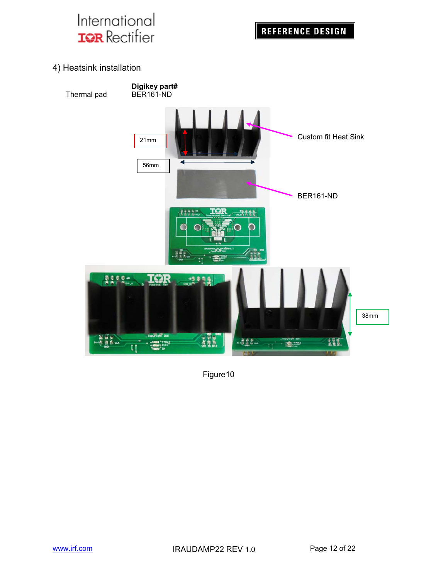

#### 4) Heatsink installation



Figure10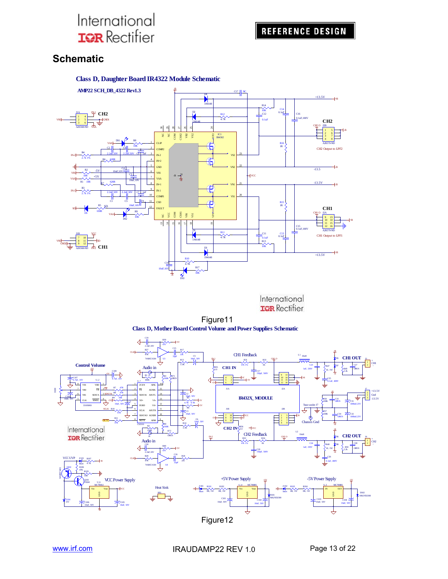### **Schematic**

#### **Class D, Daughter Board IR4322 Module Schematic**



International **IGR** Rectifier

Figure11 **Class D, Mother Board Control Volume and Power Supplies Schematic**

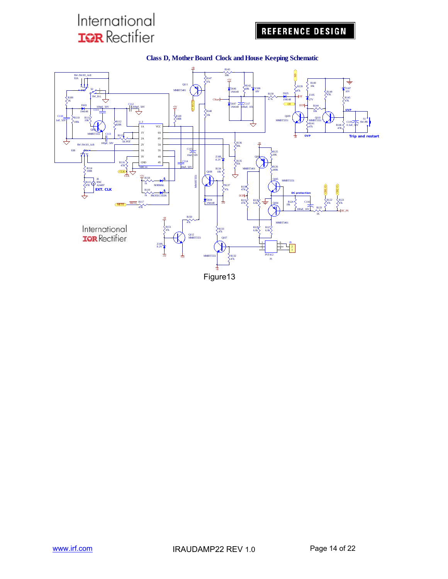### **REFERENCE DESIGN**



#### **Class D, Mother Board Clock and House Keeping Schematic**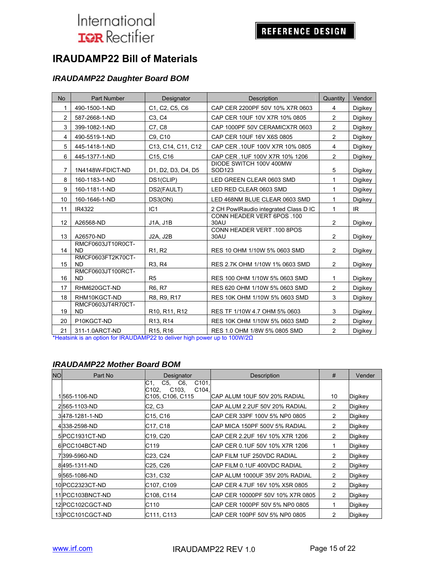### **IRAUDAMP22 Bill of Materials**

#### *IRAUDAMP22 Daughter Board BOM*

| <b>No</b>      | <b>Part Number</b>             | Designator                                          | <b>Description</b>                        | Quantity       | Vendor  |
|----------------|--------------------------------|-----------------------------------------------------|-------------------------------------------|----------------|---------|
| 1              | 490-1500-1-ND                  | C1, C2, C5, C6                                      | CAP CER 2200PF 50V 10% X7R 0603           | $\overline{4}$ | Digikey |
| $\mathfrak{p}$ | 587-2668-1-ND                  | C3, C4                                              | CAP CER 10UF 10V X7R 10% 0805             | 2              | Digikey |
| 3              | 399-1082-1-ND                  | C7, C8                                              | CAP 1000PF 50V CERAMICX7R 0603            | $\overline{2}$ | Digikey |
| $\overline{4}$ | 490-5519-1-ND                  | C9. C10                                             | CAP CER 10UF 16V X6S 0805                 | $\overline{2}$ | Digikey |
| 5              | 445-1418-1-ND                  | C13, C14, C11, C12                                  | CAP CER .10UF 100V X7R 10% 0805           | $\overline{4}$ | Digikey |
| 6              | 445-1377-1-ND                  | C15, C16                                            | CAP CER .1UF 100V X7R 10% 1206            | $\overline{2}$ | Digikey |
| $\overline{7}$ | 1N4148W-FDICT-ND               | D1, D2, D3, D4, D5                                  | DIODE SWITCH 100V 400MW<br>SOD123         | 5              | Digikey |
| 8              | 160-1183-1-ND                  | DS1(CLIP)                                           | LED GREEN CLEAR 0603 SMD                  | $\mathbf{1}$   | Digikey |
| 9              | 160-1181-1-ND                  | DS2(FAULT)                                          | LED RED CLEAR 0603 SMD                    | $\mathbf{1}$   | Digikey |
| 10             | 160-1646-1-ND                  | DS3(ON)                                             | LED 468NM BLUE CLEAR 0603 SMD             | $\mathbf 1$    | Digikey |
| 11             | IR4322                         | IC1                                                 | 2 CH PowlRaudio integrated Class D IC     | 1              | IR.     |
| 12             | A26568-ND                      | J1A, J1B                                            | <b>CONN HEADER VERT 6POS .100</b><br>30AU | $\overline{2}$ | Digikey |
| 13             | A26570-ND                      | <b>J2A, J2B</b>                                     | CONN HEADER VERT .100 8POS<br>30AU        | $\overline{2}$ | Digikey |
| 14             | RMCF0603JT10R0CT-<br><b>ND</b> | R <sub>1</sub> , R <sub>2</sub>                     | RES 10 OHM 1/10W 5% 0603 SMD              | $\overline{2}$ | Digikey |
| 15             | RMCF0603FT2K70CT-<br><b>ND</b> | R <sub>3</sub> , R <sub>4</sub>                     | RES 2.7K OHM 1/10W 1% 0603 SMD            | $\overline{2}$ | Digikey |
| 16             | RMCF0603JT100RCT-<br>ND.       | R <sub>5</sub>                                      | RES 100 OHM 1/10W 5% 0603 SMD             | 1              | Digikey |
| 17             | RHM620GCT-ND                   | R6, R7                                              | RES 620 OHM 1/10W 5% 0603 SMD             | 2              | Digikey |
| 18             | RHM10KGCT-ND                   | R8, R9, R17                                         | RES 10K OHM 1/10W 5% 0603 SMD             | 3              | Digikey |
| 19             | RMCF0603JT4R70CT-<br><b>ND</b> | R <sub>10</sub> , R <sub>11</sub> , R <sub>12</sub> | RES TF 1/10W 4.7 OHM 5% 0603              | 3              | Digikey |
| 20             | P10KGCT-ND                     | R <sub>13</sub> , R <sub>14</sub>                   | RES 10K OHM 1/10W 5% 0603 SMD             | 2              | Digikey |
| 21             | 311-1.0ARCT-ND                 | R <sub>15</sub> , R <sub>16</sub>                   | RES 1.0 OHM 1/8W 5% 0805 SMD              | $\overline{2}$ | Digikey |

\*Heatsink is an option for IRAUDAMP22 to deliver high power up to 100W/2Ω

#### *IRAUDAMP22 Mother Board BOM*

| <b>NO</b> | Part No            | Designator                                                                 | Description                       | #              | Vender  |
|-----------|--------------------|----------------------------------------------------------------------------|-----------------------------------|----------------|---------|
|           |                    | C101,<br>C1.<br>C5.<br>C6.<br>C104<br>C <sub>102</sub><br>C <sub>103</sub> |                                   |                |         |
|           | 1565-1106-ND       | C105, C106, C115                                                           | ICAP ALUM 10UF 50V 20% RADIAL     | 10             | Digikey |
|           | 2565-1103-ND       | C <sub>2</sub> , C <sub>3</sub>                                            | ICAP ALUM 2.2UF 50V 20% RADIAL    | $\overline{2}$ | Digikey |
|           | 3478-1281-1-ND     | C <sub>15</sub> , C <sub>16</sub>                                          | ICAP CER 33PF 100V 5% NP0 0805    | 2              | Digikey |
|           | 4338-2598-ND       | C <sub>17</sub> , C <sub>18</sub>                                          | CAP MICA 150PF 500V 5% RADIAL     | 2              | Digikey |
|           | 5PCC1931CT-ND      | C19, C20                                                                   | ICAP CER 2.2UF 16V 10% X7R 1206   | $\overline{2}$ | Digikey |
|           | 6IPCC104BCT-ND     | C119                                                                       | CAP CER 0.1UF 50V 10% X7R 1206    | 1              | Digikey |
|           | 7 399-5960-ND      | C <sub>23</sub> , C <sub>24</sub>                                          | ICAP FILM 1UF 250VDC RADIAL       | $\overline{2}$ | Digikey |
|           | 8495-1311-ND       | C25, C26                                                                   | ICAP FILM 0.1UF 400VDC RADIAL     | $\overline{2}$ | Digikey |
|           | 9565-1086-ND       | C31, C32                                                                   | ICAP ALUM 1000UF 35V 20% RADIAL   | $\overline{2}$ | Digikey |
|           | 10 PCC2323CT-ND    | C107, C109                                                                 | ICAP CER 4.7UF 16V 10% X5R 0805   | $\overline{2}$ | Digikey |
|           | 11 PCC 103 BNCT-ND | C108, C114                                                                 | ICAP CER 10000PF 50V 10% X7R 0805 | $\overline{2}$ | Digikey |
|           | 12 PCC 102 CGCT-ND | C110                                                                       | ICAP CER 1000PF 50V 5% NP0 0805   |                | Digikey |
|           | 13 PCC101 CGCT-ND  | C111, C113                                                                 | ICAP CER 100PF 50V 5% NP0 0805    | 2              | Digikey |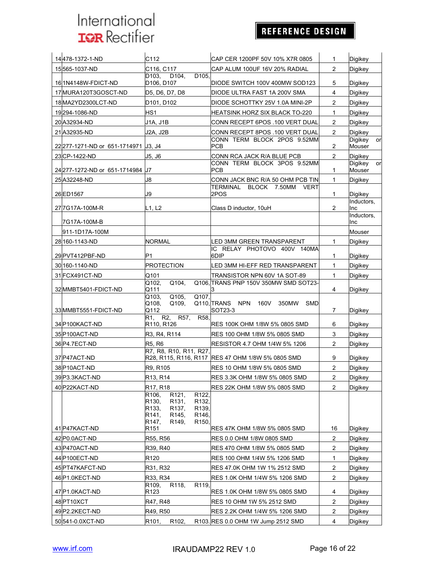### **REFERENCE DESIGN**

| 14478-1372-1-ND                      | C112                                                                                                                                                                                                    | CAP CER 1200PF 50V 10% X7R 0805                                       | 1                       | Digikey                        |
|--------------------------------------|---------------------------------------------------------------------------------------------------------------------------------------------------------------------------------------------------------|-----------------------------------------------------------------------|-------------------------|--------------------------------|
| 15565-1037-ND                        | C116, C117                                                                                                                                                                                              | CAP ALUM 100UF 16V 20% RADIAL                                         | $\overline{2}$          | Digikey                        |
| 16 1N4148W-FDICT-ND                  | D103,<br>D104,<br>D105,<br>D106, D107                                                                                                                                                                   | DIODE SWITCH 100V 400MW SOD123                                        | 5                       | Digikey                        |
| 17MURA120T3GOSCT-ND                  | D5, D6, D7, D8                                                                                                                                                                                          | DIODE ULTRA FAST 1A 200V SMA                                          | 4                       | Digikey                        |
| 18MA2YD2300LCT-ND                    | D101, D102                                                                                                                                                                                              | DIODE SCHOTTKY 25V 1.0A MINI-2P                                       | $\overline{2}$          | Digikey                        |
| 19294-1086-ND                        | HS <sub>1</sub>                                                                                                                                                                                         | HEATSINK HORZ SIX BLACK TO-220                                        | $\mathbf{1}$            | Digikey                        |
| 20 A32934-ND                         | J1A, J1B                                                                                                                                                                                                | CONN RECEPT 6POS .100 VERT DUAL                                       | $\overline{2}$          | Digikey                        |
| 21A32935-ND                          | J2A, J2B                                                                                                                                                                                                | CONN RECEPT 8POS .100 VERT DUAL                                       | $\overline{c}$          | Digikey                        |
| 22 277-1271-ND or 651-1714971 J3, J4 |                                                                                                                                                                                                         | CONN TERM BLOCK 2POS 9.52MM<br><b>PCB</b>                             | 2                       | <b>Digikey</b><br>or<br>Mouser |
| 23 CP-1422-ND                        | J5, J6                                                                                                                                                                                                  | CONN RCA JACK R/A BLUE PCB                                            | $\overline{2}$          | Digikey                        |
| 24 277-1272-ND or 651-1714984        | J7                                                                                                                                                                                                      | CONN TERM BLOCK 3POS 9.52MM<br><b>PCB</b>                             | 1                       | Digikey<br>or<br>Mouser        |
| 25 A32248-ND                         | J8                                                                                                                                                                                                      | CONN JACK BNC R/A 50 OHM PCB TIN                                      | $\mathbf{1}$            | Digikey                        |
|                                      | J9                                                                                                                                                                                                      | TERMINAL<br>BLOCK 7.50MM<br><b>VERT</b>                               |                         |                                |
| 26 ED1567                            |                                                                                                                                                                                                         | 2POS                                                                  | 1                       | Digikey<br>Inductors,          |
| 27 7 G 17 A - 100 M - R              | L1. L2                                                                                                                                                                                                  | Class D inductor, 10uH                                                | $\overline{2}$          | Inc                            |
| 7G17A-100M-B                         |                                                                                                                                                                                                         |                                                                       |                         | Inductors,<br>Inc              |
| 911-1D17A-100M                       |                                                                                                                                                                                                         |                                                                       |                         | Mouser                         |
| 28 160-1143-ND                       | <b>NORMAL</b>                                                                                                                                                                                           | <b>LED 3MM GREEN TRANSPARENT</b>                                      | $\mathbf{1}$            | Digikey                        |
|                                      |                                                                                                                                                                                                         | IC RELAY PHOTOVO 400V 140MA                                           |                         |                                |
| 29 PVT412PBF-ND                      | P1                                                                                                                                                                                                      | 6DIP                                                                  | $\mathbf{1}$            | Digikey                        |
| 30 160-1140-ND                       | <b>PROTECTION</b>                                                                                                                                                                                       | LED 3MM HI-EFF RED TRANSPARENT                                        | $\mathbf{1}$            | Digikey                        |
| 31 FCX491 CT-ND                      | Q101<br>Q104,<br>Q102,                                                                                                                                                                                  | TRANSISTOR NPN 60V 1A SOT-89<br>Q106, TRANS PNP 150V 350MW SMD SOT23- | $\mathbf{1}$            | Digikey                        |
| 32MMBT5401-FDICT-ND                  | Q111                                                                                                                                                                                                    | 3                                                                     | 4                       | Digikey                        |
| 33 MMBT5551-FDICT-ND                 | Q105,<br>Q107.<br>Q103,<br>Q109.<br>Q108,<br>Q112                                                                                                                                                       | Q110, TRANS<br><b>NPN</b><br>160V<br>350MW<br><b>SMD</b><br>SOT23-3   | 7                       | Digikey                        |
| 34 P100KACT-ND                       | R2,<br>$\overline{R57}$<br>R1,<br>R <sub>58</sub><br>R110, R126                                                                                                                                         | RES 100K OHM 1/8W 5% 0805 SMD                                         | 6                       | Digikey                        |
| 35 P100ACT-ND                        | R3, R4, R114                                                                                                                                                                                            | RES 100 OHM 1/8W 5% 0805 SMD                                          | 3                       | Digikey                        |
| 36 P4.7ECT-ND                        | R <sub>5</sub> , R <sub>6</sub>                                                                                                                                                                         | <b>RESISTOR 4.7 OHM 1/4W 5% 1206</b>                                  | $\overline{2}$          | Digikey                        |
| 37 P47ACT-ND                         | R7, R8, R10, R11, R27,                                                                                                                                                                                  | R28, R115, R116, R117 RES 47 OHM 1/8W 5% 0805 SMD                     | 9                       | Digikey                        |
| 38 P10ACT-ND                         | R9, R105                                                                                                                                                                                                | RES 10 OHM 1/8W 5% 0805 SMD                                           | $\overline{c}$          | Digikey                        |
| 39 P3.3KACT-ND                       | R <sub>13</sub> , R <sub>14</sub>                                                                                                                                                                       | RES 3.3K OHM 1/8W 5% 0805 SMD                                         | $\overline{2}$          | Digikey                        |
| 40 P22KACT-ND                        | R <sub>17</sub> , R <sub>18</sub>                                                                                                                                                                       | RES 22K OHM 1/8W 5% 0805 SMD                                          | 2                       | Digikey                        |
|                                      | R122.<br>R106.<br>R121,<br>R <sub>130</sub><br>R131.<br>R <sub>132</sub><br>R133,<br>R <sub>137</sub> ,<br>R <sub>139</sub><br>R <sub>145</sub><br>R146,<br>R141,<br>R149,<br>R <sub>150</sub><br>R147. |                                                                       |                         |                                |
| 41 P47 KACT-ND                       | R151                                                                                                                                                                                                    | RES 47K OHM 1/8W 5% 0805 SMD                                          | 16                      | Digikey                        |
| 42 P0.0ACT-ND                        | R55, R56                                                                                                                                                                                                | RES 0.0 OHM 1/8W 0805 SMD                                             | 2                       | Digikey                        |
| 43 P470ACT-ND                        | R39, R40                                                                                                                                                                                                | RES 470 OHM 1/8W 5% 0805 SMD                                          | 2                       | Digikey                        |
| 44 P100ECT-ND                        | R120                                                                                                                                                                                                    | RES 100 OHM 1/4W 5% 1206 SMD                                          | 1                       | Digikey                        |
| 45 PT47KAFCT-ND                      | R31, R32                                                                                                                                                                                                | RES 47.0K OHM 1W 1% 2512 SMD                                          | $\overline{\mathbf{c}}$ | Digikey                        |
| 46 P1.0KECT-ND                       | R33, R34<br>R <sub>109</sub><br>R118,<br>R <sub>119</sub>                                                                                                                                               | RES 1.0K OHM 1/4W 5% 1206 SMD                                         | 2                       | Digikey                        |
| 47 P1.0KACT-ND                       | R123                                                                                                                                                                                                    | RES 1.0K OHM 1/8W 5% 0805 SMD                                         | 4                       | Digikey                        |
| 48 PT10XCT                           | R47, R48                                                                                                                                                                                                | RES 10 OHM 1W 5% 2512 SMD                                             | $\overline{c}$          | Digikey                        |
| 49 P2.2KECT-ND                       | R49, R50                                                                                                                                                                                                | RES 2.2K OHM 1/4W 5% 1206 SMD                                         | $\overline{\mathbf{c}}$ | Digikey                        |
| 50541-0.0XCT-ND                      | R <sub>101</sub><br>R <sub>102</sub>                                                                                                                                                                    | R103 RES 0.0 OHM 1W Jump 2512 SMD                                     | $\overline{4}$          | Digikey                        |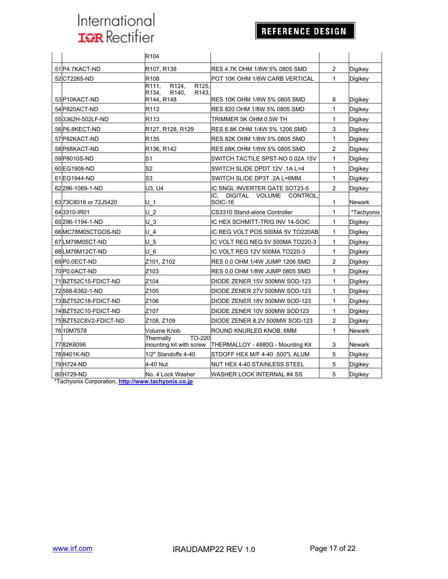### **REFERENCE DESIGN**

|                          | R <sub>104</sub>                                                                                                   |                                                                     |                |               |
|--------------------------|--------------------------------------------------------------------------------------------------------------------|---------------------------------------------------------------------|----------------|---------------|
| 51 P4.7KACT-ND           | R <sub>107</sub> , R <sub>138</sub>                                                                                | RES 4.7K OHM 1/8W 5% 0805 SMD                                       | 2              | Digikey       |
| 52 CT2265-ND             | R108                                                                                                               | POT 10K OHM 1/8W CARB VERTICAL                                      | $\mathbf{1}$   | Digikey       |
| 53 P10 KACT-ND           | R <sub>111</sub><br>R124,<br>R125,<br>R <sub>140</sub> .<br>R <sub>134</sub> .<br>R <sub>143</sub> .<br>R144, R148 | RES 10K OHM 1/8W 5% 0805 SMD                                        | 8              | Digikey       |
| 54 P820 ACT-ND           | R <sub>112</sub>                                                                                                   | RES 820 OHM 1/8W 5% 0805 SMD                                        | $\mathbf{1}$   | Digikey       |
| 553362H-502LF-ND         | R113                                                                                                               | TRIMMER 5K OHM 0.5W TH                                              | $\mathbf{1}$   | Digikey       |
| 56 P6.8KECT-ND           | R127, R128, R129                                                                                                   | RES 6.8K OHM 1/4W 5% 1206 SMD                                       | 3              | Digikey       |
| 57 P82KACT-ND            | R <sub>135</sub>                                                                                                   | RES 82K OHM 1/8W 5% 0805 SMD                                        | 1              | Digikey       |
| 58 P68KACT-ND            | R <sub>136</sub> , R <sub>142</sub>                                                                                | RES 68K OHM 1/8W 5% 0805 SMD                                        | $\mathbf{2}$   | Digikey       |
| 59 P8010S-ND             | S <sub>1</sub>                                                                                                     | SWITCH TACTILE SPST-NO 0.02A 15V                                    | 1              | Digikey       |
| 60 EG1908-ND             | S <sub>2</sub>                                                                                                     | SWITCH SLIDE DPDT 12V .1A L=4                                       | 1              | Digikey       |
| 61 EG1944-ND             | S <sub>3</sub>                                                                                                     | SWITCH SLIDE DP3T .2A L=6MM                                         | $\mathbf{1}$   | Digikey       |
| 62296-1089-1-ND          | U3, U4                                                                                                             | IC SNGL INVERTER GATE SOT23-5                                       | $\mathbf{2}$   | Digikey       |
| 63 73 C8016 or 72 J 5420 | $U$ 1                                                                                                              | <b>DIGITAL</b><br><b>VOLUME</b><br><b>CONTROL</b><br>IC.<br>SOIC-16 | 1              | Newark        |
| 643310-IR01              | U <sub>2</sub>                                                                                                     | CS3310 Stand-alone Controller                                       | 1              | *Tachyonix    |
| 65296-1194-1-ND          | $U_3$                                                                                                              | IC HEX SCHMITT-TRIG INV 14-SOIC                                     | 1              | Digikey       |
| 66 MC78M05CTGOS-ND       | $U$ 4                                                                                                              | IC REG VOLT POS 500MA 5V TO220AB                                    | 1              | Digikey       |
| 67LM79M05CT-ND           | U <sub>5</sub>                                                                                                     | IC VOLT REG NEG 5V 500MA TO220-3                                    | $\mathbf{1}$   | Digikey       |
| 68LM78M12CT-ND           | $U_6$                                                                                                              | IC VOLT REG 12V 500MA TO220-3                                       | 1              | Digikey       |
| 69P0.0ECT-ND             | Z101, Z102                                                                                                         | RES 0.0 OHM 1/4W JUMP 1206 SMD                                      | $\overline{c}$ | Digikey       |
| 70 PO.OACT-ND            | Z103                                                                                                               | RES 0.0 OHM 1/8W JUMP 0805 SMD                                      | 1              | Digikey       |
| 71BZT52C15-FDICT-ND      | Z104                                                                                                               | DIODE ZENER 15V 500MW SOD-123                                       | $\mathbf{1}$   | Digikey       |
| 72568-6362-1-ND          | Z105                                                                                                               | DIODE ZENER 27V 500MW SOD-123                                       | $\mathbf{1}$   | Digikey       |
| 73BZT52C18-FDICT-ND      | Z106                                                                                                               | DIODE ZENER 18V 500MW SOD-123                                       | 1              | Digikey       |
| 74BZT52C10-FDICT-ND      | Z107                                                                                                               | DIODE ZENER 10V 500MW SOD123                                        | 1              | Digikey       |
| 75BZT52C8V2-FDICT-ND     | Z108, Z109                                                                                                         | DIODE ZENER 8.2V 500MW SOD-123                                      | 2              | Digikey       |
| 7610M7578                | Volume Knob                                                                                                        | ROUND KNURLED KNOB, 6MM                                             | 1              | <b>Newark</b> |
| 7782K6096                | Thermally<br>TO-220<br>mounting kit with screw                                                                     | THERMALLOY - 4880G - Mounting Kit                                   | 3              | Newark        |
| 788401K-ND               | 1/2" Standoffs 4-40                                                                                                | STDOFF HEX M/F 4-40 .500"L ALUM                                     | 5              | Digikey       |
| 79H724-ND                | 4-40 Nut                                                                                                           | NUT HEX 4-40 STAINLESS STEEL                                        | 5              | Digikey       |
| 80 H729-ND               | No. 4 Lock Washer                                                                                                  | WASHER LOCK INTERNAL #4 SS                                          | 5              | Digikey       |

\*Tachyonix Corporation, **http://www.tachyonix.co.jp**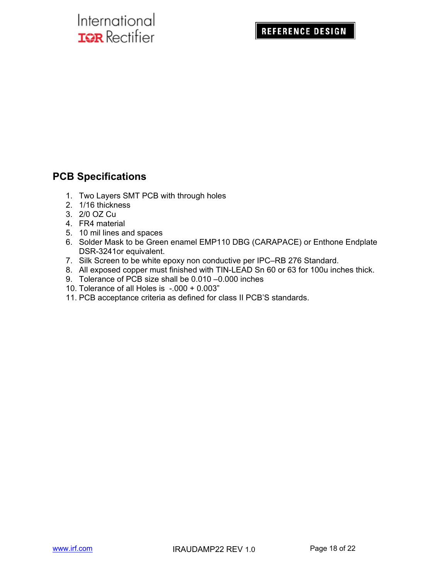### **PCB Specifications**

- 1. Two Layers SMT PCB with through holes
- 2. 1/16 thickness
- 3. 2/0 OZ Cu
- 4. FR4 material
- 5. 10 mil lines and spaces
- 6. Solder Mask to be Green enamel EMP110 DBG (CARAPACE) or Enthone Endplate DSR-3241or equivalent.
- 7. Silk Screen to be white epoxy non conductive per IPC–RB 276 Standard.
- 8. All exposed copper must finished with TIN-LEAD Sn 60 or 63 for 100u inches thick.
- 9. Tolerance of PCB size shall be 0.010 –0.000 inches
- 10. Tolerance of all Holes is -.000 + 0.003"
- 11. PCB acceptance criteria as defined for class II PCB'S standards.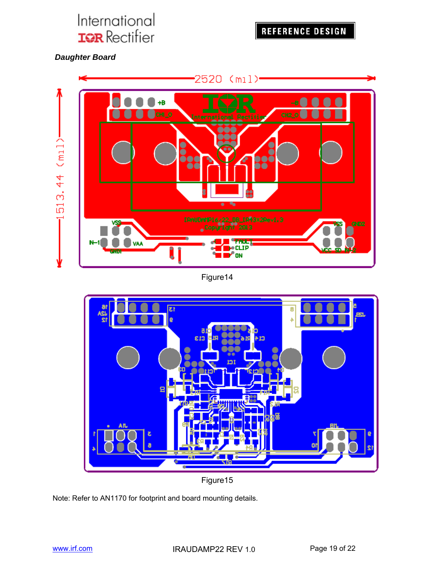**REFERENCE DESIGN** 

 *Daughter Board* 



Figure14



Figure15

Note: Refer to AN1170 for footprint and board mounting details.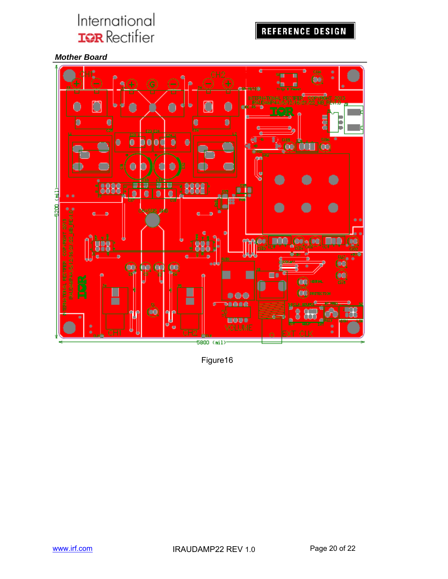### **REFERENCE DESIGN**

 *Mother Board* 



Figure16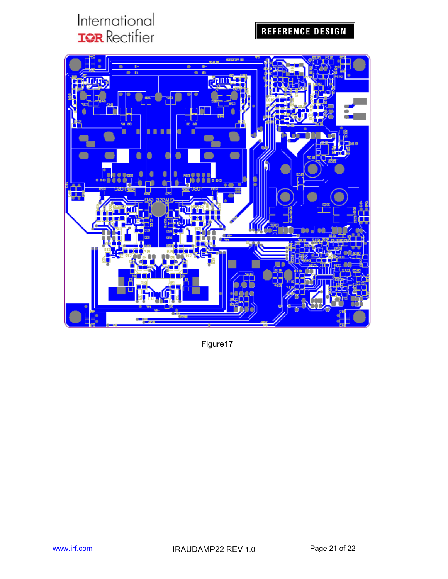### **REFERENCE DESIGN**



Figure17